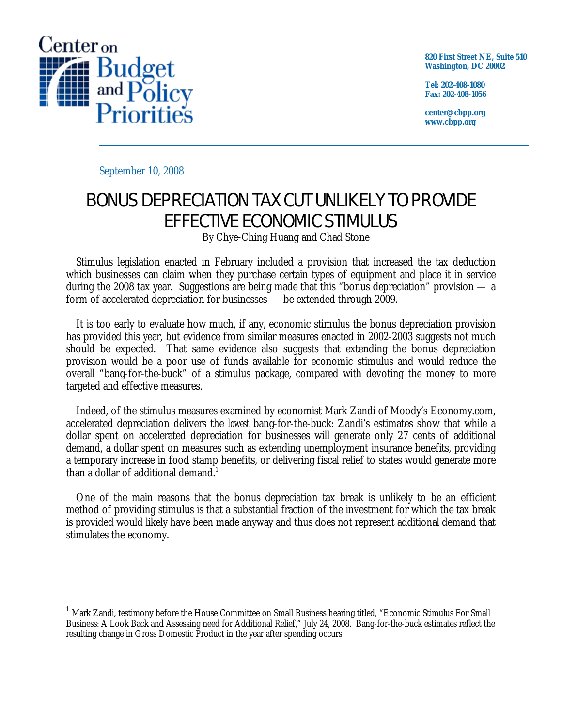

 $\overline{a}$ 

**820 First Street NE, Suite 510 Washington, DC 20002** 

**Tel: 202-408-1080 Fax: 202-408-1056** 

**center@cbpp.org www.cbpp.org** 

September 10, 2008

# BONUS DEPRECIATION TAX CUT UNLIKELY TO PROVIDE EFFECTIVE ECONOMIC STIMULUS

By Chye-Ching Huang and Chad Stone

Stimulus legislation enacted in February included a provision that increased the tax deduction which businesses can claim when they purchase certain types of equipment and place it in service during the 2008 tax year. Suggestions are being made that this "bonus depreciation" provision — a form of accelerated depreciation for businesses — be extended through 2009.

It is too early to evaluate how much, if any, economic stimulus the bonus depreciation provision has provided this year, but evidence from similar measures enacted in 2002-2003 suggests not much should be expected. That same evidence also suggests that extending the bonus depreciation provision would be a poor use of funds available for economic stimulus and would reduce the overall "bang-for-the-buck" of a stimulus package, compared with devoting the money to more targeted and effective measures.

Indeed, of the stimulus measures examined by economist Mark Zandi of Moody's Economy.com, accelerated depreciation delivers the *lowest* bang-for-the-buck: Zandi's estimates show that while a dollar spent on accelerated depreciation for businesses will generate only 27 cents of additional demand, a dollar spent on measures such as extending unemployment insurance benefits, providing a temporary increase in food stamp benefits, or delivering fiscal relief to states would generate more than a dollar of additional demand. $^1$ 

One of the main reasons that the bonus depreciation tax break is unlikely to be an efficient method of providing stimulus is that a substantial fraction of the investment for which the tax break is provided would likely have been made anyway and thus does not represent additional demand that stimulates the economy.

<sup>&</sup>lt;sup>1</sup> Mark Zandi, testimony before the House Committee on Small Business hearing titled, "Economic Stimulus For Small Business: A Look Back and Assessing need for Additional Relief," July 24, 2008. Bang-for-the-buck estimates reflect the resulting change in Gross Domestic Product in the year after spending occurs.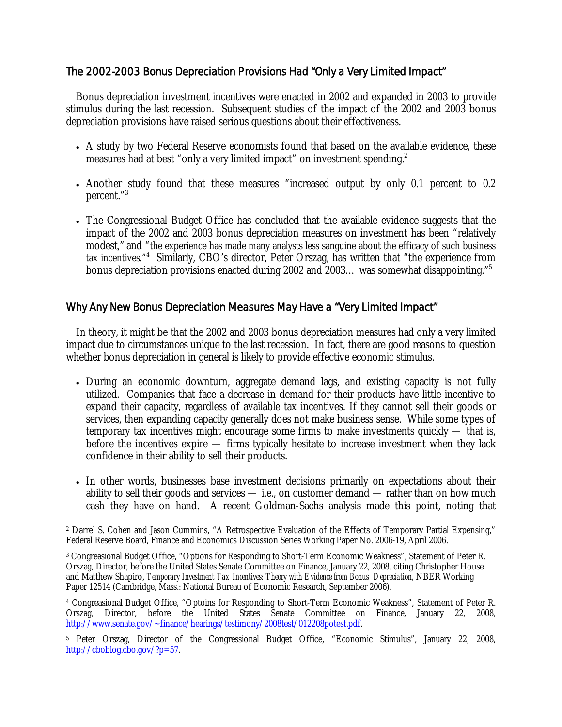## The 2002-2003 Bonus Depreciation Provisions Had "Only a Very Limited Impact"

Bonus depreciation investment incentives were enacted in 2002 and expanded in 2003 to provide stimulus during the last recession. Subsequent studies of the impact of the 2002 and 2003 bonus depreciation provisions have raised serious questions about their effectiveness.

- A study by two Federal Reserve economists found that based on the available evidence, these measures had at best "only a very limited impact" on investment spending.<sup>2</sup>
- Another study found that these measures "increased output by only 0.1 percent to 0.2 percent."3
- The Congressional Budget Office has concluded that the available evidence suggests that the impact of the 2002 and 2003 bonus depreciation measures on investment has been "relatively modest," and "the experience has made many analysts less sanguine about the efficacy of such business tax incentives."4 Similarly, CBO's director, Peter Orszag, has written that "the experience from bonus depreciation provisions enacted during 2002 and 2003... was somewhat disappointing."<sup>5</sup>

### Why Any New Bonus Depreciation Measures May Have a "Very Limited Impact"

In theory, it might be that the 2002 and 2003 bonus depreciation measures had only a very limited impact due to circumstances unique to the last recession. In fact, there are good reasons to question whether bonus depreciation in general is likely to provide effective economic stimulus.

- During an economic downturn, aggregate demand lags, and existing capacity is not fully utilized. Companies that face a decrease in demand for their products have little incentive to expand their capacity, regardless of available tax incentives. If they cannot sell their goods or services, then expanding capacity generally does not make business sense. While some types of temporary tax incentives might encourage some firms to make investments quickly — that is, before the incentives expire — firms typically hesitate to increase investment when they lack confidence in their ability to sell their products.
- In other words, businesses base investment decisions primarily on expectations about their ability to sell their goods and services — i.e., on customer demand — rather than on how much cash they have on hand. A recent Goldman-Sachs analysis made this point, noting that

 $\overline{a}$ 2 Darrel S. Cohen and Jason Cummins, "A Retrospective Evaluation of the Effects of Temporary Partial Expensing," Federal Reserve Board, Finance and Economics Discussion Series Working Paper No. 2006-19, April 2006.

<sup>3</sup> Congreasional Budget Office, "Options for Responding to Short-Term Economic Weakness", Statement of Peter R. Orszag, Director, before the United States Senate Committee on Finance, January 22, 2008, citing Christopher House and Matthew Shapiro, *Temporary Investment Tax Incentives: Theory with Evidence from Bonus Depreciation,* NBER Working Paper 12514 (Cambridge, Mass.: National Bureau of Economic Research, September 2006).

<sup>4</sup> Congreasional Budget Office, "Optoins for Responding to Short-Term Economic Weakness", Statement of Peter R. Orszag, Director, before the United States Senate Committee on Finance, January 22, 2008, http://www.senate.gov/~finance/hearings/testimony/2008test/012208potest.pdf.

<sup>5</sup> Peter Orszag, Director of the Congressional Budget Office, "Economic Stimulus", January 22, 2008, http://cboblog.cbo.gov/?p=57.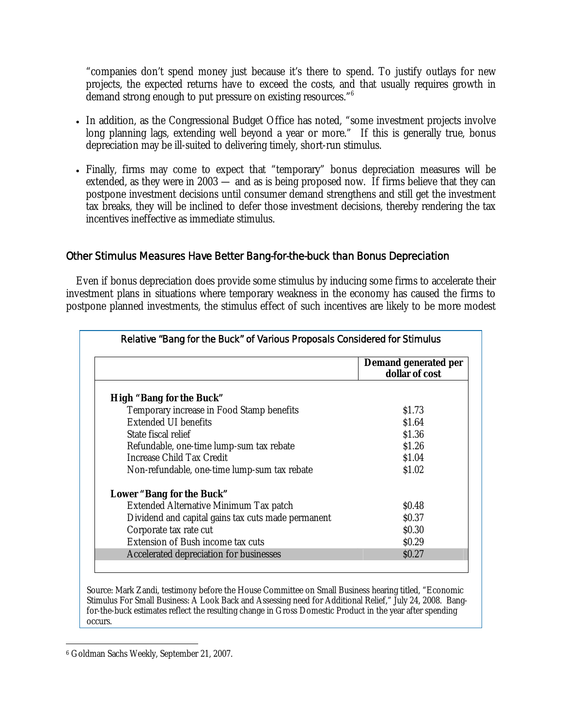"companies don't spend money just because it's there to spend. To justify outlays for new projects, the expected returns have to exceed the costs, and that usually requires growth in demand strong enough to put pressure on existing resources."6

- In addition, as the Congressional Budget Office has noted, "some investment projects involve long planning lags, extending well beyond a year or more." If this is generally true, bonus depreciation may be ill-suited to delivering timely, short-run stimulus.
- Finally, firms may come to expect that "temporary" bonus depreciation measures will be extended, as they were in 2003 — and as is being proposed now. If firms believe that they can postpone investment decisions until consumer demand strengthens and still get the investment tax breaks, they will be inclined to defer those investment decisions, thereby rendering the tax incentives ineffective as immediate stimulus.

# Other Stimulus Measures Have Better Bang-for-the-buck than Bonus Depreciation

Even if bonus depreciation does provide some stimulus by inducing some firms to accelerate their investment plans in situations where temporary weakness in the economy has caused the firms to postpone planned investments, the stimulus effect of such incentives are likely to be more modest

|                                                    | Demand generated per<br>dollar of cost |
|----------------------------------------------------|----------------------------------------|
| <b>High "Bang for the Buck"</b>                    |                                        |
| Temporary increase in Food Stamp benefits          | \$1.73                                 |
| Extended UI benefits                               | \$1.64                                 |
| State fiscal relief                                | \$1.36                                 |
| Refundable, one-time lump-sum tax rebate           | \$1.26                                 |
| Increase Child Tax Credit                          | \$1.04                                 |
| Non-refundable, one-time lump-sum tax rebate       | \$1.02                                 |
| Lower "Bang for the Buck"                          |                                        |
| Extended Alternative Minimum Tax patch             | S <sub>0.48</sub>                      |
| Dividend and capital gains tax cuts made permanent | \$0.37                                 |
| Corporate tax rate cut                             | \$0.30                                 |
| Extension of Bush income tax cuts                  | \$0.29                                 |
| Accelerated depreciation for businesses            | S <sub>0.27</sub>                      |

Source: Mark Zandi, testimony before the House Committee on Small Business hearing titled, "Economic Stimulus For Small Business: A Look Back and Assessing need for Additional Relief," July 24, 2008. Bangfor-the-buck estimates reflect the resulting change in Gross Domestic Product in the year after spending occurs.

 $\overline{a}$ 6 Goldman Sachs Weekly, September 21, 2007.